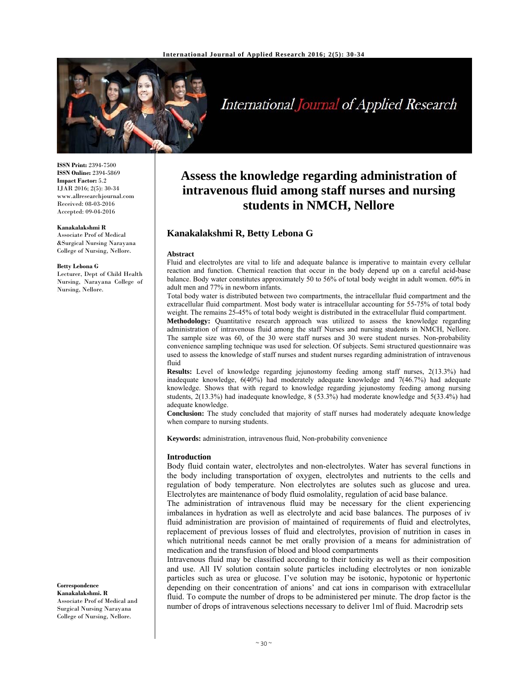

# International Journal of Applied Research

**ISSN Print:** 2394-7500 **ISSN Online:** 2394-5869 **Impact Factor:** 5.2 IJAR 2016; 2(5): 30-34 www.allresearchjournal.com Received: 08-03-2016 Accepted: 09-04-2016

#### **Kanakalakshmi R**

Associate Prof of Medical &Surgical Nursing Narayana College of Nursing, Nellore.

#### **Betty Lebona G**

Lecturer, Dept of Child Health Nursing, Narayana College of Nursing, Nellore.

**Correspondence Kanakalakshmi. R**  Associate Prof of Medical and Surgical Nursing Narayana

College of Nursing, Nellore.

## **Assess the knowledge regarding administration of intravenous fluid among staff nurses and nursing students in NMCH, Nellore**

## **Kanakalakshmi R, Betty Lebona G**

#### **Abstract**

Fluid and electrolytes are vital to life and adequate balance is imperative to maintain every cellular reaction and function. Chemical reaction that occur in the body depend up on a careful acid-base balance. Body water constitutes approximately 50 to 56% of total body weight in adult women. 60% in adult men and 77% in newborn infants.

Total body water is distributed between two compartments, the intracellular fluid compartment and the extracellular fluid compartment. Most body water is intracellular accounting for 55-75% of total body weight. The remains 25-45% of total body weight is distributed in the extracellular fluid compartment.

**Methodology:** Quantitative research approach was utilized to assess the knowledge regarding administration of intravenous fluid among the staff Nurses and nursing students in NMCH, Nellore. The sample size was 60, of the 30 were staff nurses and 30 were student nurses. Non-probability convenience sampling technique was used for selection. Of subjects. Semi structured questionnaire was used to assess the knowledge of staff nurses and student nurses regarding administration of intravenous fluid

**Results:** Level of knowledge regarding jejunostomy feeding among staff nurses, 2(13.3%) had inadequate knowledge, 6(40%) had moderately adequate knowledge and 7(46.7%) had adequate knowledge. Shows that with regard to knowledge regarding jejunostomy feeding among nursing students, 2(13.3%) had inadequate knowledge, 8 (53.3%) had moderate knowledge and 5(33.4%) had adequate knowledge.

**Conclusion:** The study concluded that majority of staff nurses had moderately adequate knowledge when compare to nursing students.

**Keywords:** administration, intravenous fluid, Non-probability convenience

#### **Introduction**

Body fluid contain water, electrolytes and non-electrolytes. Water has several functions in the body including transportation of oxygen, electrolytes and nutrients to the cells and regulation of body temperature. Non electrolytes are solutes such as glucose and urea. Electrolytes are maintenance of body fluid osmolality, regulation of acid base balance.

The administration of intravenous fluid may be necessary for the client experiencing imbalances in hydration as well as electrolyte and acid base balances. The purposes of iv fluid administration are provision of maintained of requirements of fluid and electrolytes, replacement of previous losses of fluid and electrolytes, provision of nutrition in cases in which nutritional needs cannot be met orally provision of a means for administration of medication and the transfusion of blood and blood compartments

Intravenous fluid may be classified according to their tonicity as well as their composition and use. All IV solution contain solute particles including electrolytes or non ionizable particles such as urea or glucose. I've solution may be isotonic, hypotonic or hypertonic depending on their concentration of anions' and cat ions in comparison with extracellular fluid. To compute the number of drops to be administered per minute. The drop factor is the number of drops of intravenous selections necessary to deliver 1ml of fluid. Macrodrip sets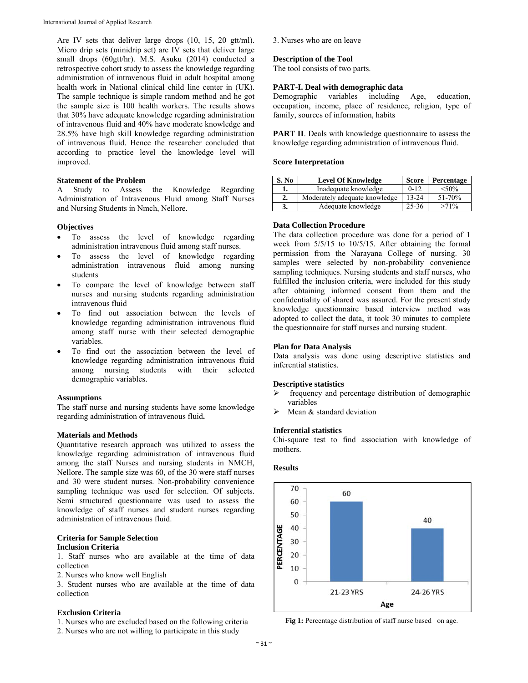Are IV sets that deliver large drops (10, 15, 20 gtt/ml). Micro drip sets (minidrip set) are IV sets that deliver large small drops (60gtt/hr). M.S. Asuku (2014) conducted a retrospective cohort study to assess the knowledge regarding administration of intravenous fluid in adult hospital among health work in National clinical child line center in (UK). The sample technique is simple random method and he got the sample size is 100 health workers. The results shows that 30% have adequate knowledge regarding administration of intravenous fluid and 40% have moderate knowledge and 28.5% have high skill knowledge regarding administration of intravenous fluid. Hence the researcher concluded that according to practice level the knowledge level will improved.

#### **Statement of the Problem**

A Study to Assess the Knowledge Regarding Administration of Intravenous Fluid among Staff Nurses and Nursing Students in Nmch, Nellore.

#### **Objectives**

- To assess the level of knowledge regarding administration intravenous fluid among staff nurses.
- To assess the level of knowledge regarding administration intravenous fluid among nursing students
- To compare the level of knowledge between staff nurses and nursing students regarding administration intravenous fluid
- To find out association between the levels of knowledge regarding administration intravenous fluid among staff nurse with their selected demographic variables.
- To find out the association between the level of knowledge regarding administration intravenous fluid students with their selected demographic variables.

#### **Assumptions**

The staff nurse and nursing students have some knowledge regarding administration of intravenous fluid**.**

#### **Materials and Methods**

Quantitative research approach was utilized to assess the knowledge regarding administration of intravenous fluid among the staff Nurses and nursing students in NMCH, Nellore. The sample size was 60, of the 30 were staff nurses and 30 were student nurses. Non-probability convenience sampling technique was used for selection. Of subjects. Semi structured questionnaire was used to assess the knowledge of staff nurses and student nurses regarding administration of intravenous fluid.

#### **Criteria for Sample Selection Inclusion Criteria**

1. Staff nurses who are available at the time of data collection

2. Nurses who know well English

3. Student nurses who are available at the time of data collection

## **Exclusion Criteria**

1. Nurses who are excluded based on the following criteria

2. Nurses who are not willing to participate in this study

#### 3. Nurses who are on leave

#### **Description of the Tool**

The tool consists of two parts.

#### **PART-I. Deal with demographic data**

Demographic variables including Age, education, occupation, income, place of residence, religion, type of family, sources of information, habits

**PART II**. Deals with knowledge questionnaire to assess the knowledge regarding administration of intravenous fluid.

#### **Score Interpretation**

| S. No | <b>Level Of Knowledge</b>     | <b>Score</b> | Percentage |
|-------|-------------------------------|--------------|------------|
| ı.    | Inadequate knowledge          | $0 - 12$     | $< 50\%$   |
| 2.    | Moderately adequate knowledge | $13 - 24$    | 51-70%     |
| 3.    | Adequate knowledge            | $25 - 36$    | $>71\%$    |

### **Data Collection Procedure**

The data collection procedure was done for a period of 1 week from 5/5/15 to 10/5/15. After obtaining the formal permission from the Narayana College of nursing. 30 samples were selected by non-probability convenience sampling techniques. Nursing students and staff nurses, who fulfilled the inclusion criteria, were included for this study after obtaining informed consent from them and the confidentiality of shared was assured. For the present study knowledge questionnaire based interview method was adopted to collect the data, it took 30 minutes to complete the questionnaire for staff nurses and nursing student.

#### **Plan for Data Analysis**

Data analysis was done using descriptive statistics and inferential statistics.

#### **Descriptive statistics**

- $\triangleright$  frequency and percentage distribution of demographic variables
- Mean & standard deviation

#### **Inferential statistics**

Chi-square test to find association with knowledge of mothers.

#### **Results**



Fig 1: Percentage distribution of staff nurse based on age.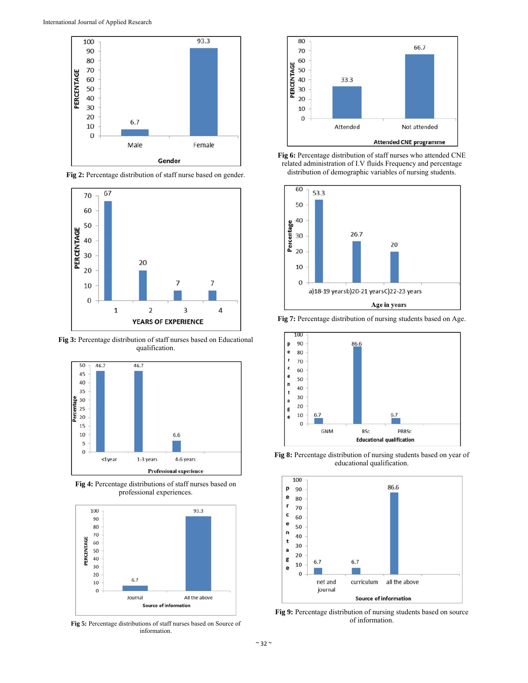





**Fig 3:** Percentage distribution of staff nurses based on Educational qualification.



**Fig 4:** Percentage distributions of staff nurses based on professional experiences.



**Fig 5:** Percentage distributions of staff nurses based on Source of information.



**Fig 6:** Percentage distribution of staff nurses who attended CNE related administration of I.V fluids Frequency and percentage distribution of demographic variables of nursing students.



**Fig 7:** Percentage distribution of nursing students based on Age.



Fig 8: Percentage distribution of nursing students based on year of educational qualification.



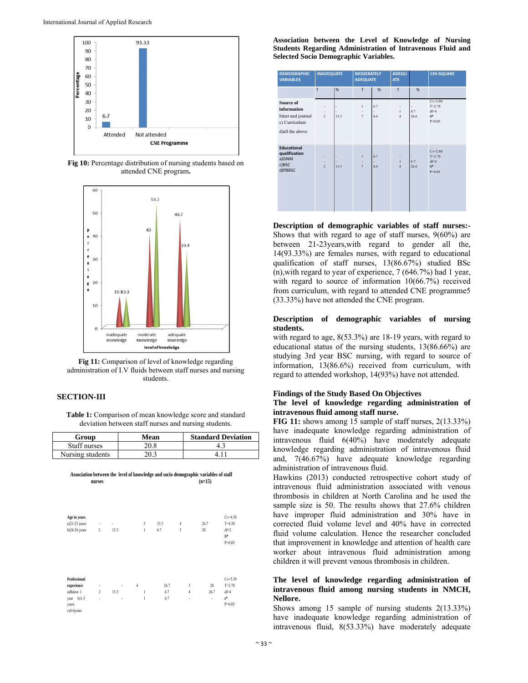

Fig 10: Percentage distribution of nursing students based on attended CNE program.





### **SECTION-III**

Table 1: Comparison of mean knowledge score and standard deviation between staff nurses and nursing students.

| Group            | Mean | <b>Standard Deviation</b> |
|------------------|------|---------------------------|
| Staff nurses     | 20.8 |                           |
| Nursing students | 20.3 |                           |

Association between the level of knowledge and socio demographic variables of staff nurses  $(n=15)$ 

| Age in years<br>$a)21-23$ years<br>b)24-26 years                                  | ٠<br>$\overline{2}$      | ٠<br>13.3      | 5<br>$\mathbf{1}$                   | 33.3<br>6.7        | $\overline{4}$<br>$\overline{3}$      | 26.7<br>20      | $Cv=4.38$<br>$T = 4.30$<br>$df=2$<br>$S^*$<br>$P=0.05$   |
|-----------------------------------------------------------------------------------|--------------------------|----------------|-------------------------------------|--------------------|---------------------------------------|-----------------|----------------------------------------------------------|
| Professional<br>experience<br>a)Below 1<br>$b)1-3$<br>year<br>years<br>c)4-6years | ٠<br>$\overline{2}$<br>٠ | ٠<br>13.3<br>٠ | $\overline{4}$<br>1<br>$\mathbf{1}$ | 26.7<br>6.7<br>6.7 | $\overline{3}$<br>$\overline{4}$<br>٠ | 20<br>26.7<br>٠ | $Cv = 5.39$<br>$T = 2.78$<br>$df=4$<br>$s^*$<br>$P=0.05$ |

Association between the Level of Knowledge of Nursing Students Regarding Administration of Intravenous Fluid and **Selected Socio Demographic Variables.** 

| <b>DEMOGRAPHIC</b><br><b>VARIABLES</b>                                            | <b>INADEQUATE</b>                                |      | <b>MODERATELY</b><br><b>ADEQUATE</b> |            | <b>ADEQU</b><br><b>ATE</b>          |                  | <b>CHI-SQUARE</b>                                        |
|-----------------------------------------------------------------------------------|--------------------------------------------------|------|--------------------------------------|------------|-------------------------------------|------------------|----------------------------------------------------------|
|                                                                                   | $\mathsf{f}$                                     | %    | $\mathsf{f}$                         | %          | f                                   | %                |                                                          |
| Source of<br>information<br>b)net and journal<br>c) Curriculum<br>d)all the above | ٠<br>$\overline{2}$                              | 13.3 | $\mathbf{I}$<br>$\overline{7}$       | 6.7<br>4.6 | $\mathbf{1}$<br>$\overline{4}$      | 6.7<br>26.6      | $Cv = 2.80$<br>$T = 2.78$<br>$df=4$<br>$S^*$<br>$P=0.05$ |
| <b>Educational</b><br>qualification<br>a)GNM<br>c)BSC<br>d)PBBSC                  | ÷,<br>$\overline{\phantom{a}}$<br>$\overline{2}$ | 13.3 | $\mathbf{I}$<br>$\overline{7}$       | 6.7<br>4.6 | ٠<br>$\mathbf{1}$<br>$\overline{4}$ | ٠<br>6.7<br>26.6 | $Cv=2.80$<br>$T = 2.78$<br>$df = 4$<br>$S^*$<br>$P=0.05$ |

Description of demographic variables of staff nurses:-Shows that with regard to age of staff nurses,  $9(60\%)$  are between 21-23 years, with regard to gender all the, 14(93.33%) are females nurses, with regard to educational qualification of staff nurses, 13(86.67%) studied BSc  $(n)$ , with regard to year of experience, 7 (646.7%) had 1 year, with regard to source of information  $10(66.7%)$  received from curriculum, with regard to attended CNE programme5 (33.33%) have not attended the CNE program.

#### Description of demographic variables of nursing students.

with regard to age,  $8(53.3\%)$  are 18-19 years, with regard to educational status of the nursing students, 13(86.66%) are studying 3rd year BSC nursing, with regard to source of information, 13(86.6%) received from curriculum, with regard to attended workshop, 14(93%) have not attended.

## **Findings of the Study Based On Objectives**

#### The level of knowledge regarding administration of intravenous fluid among staff nurse.

FIG 11: shows among 15 sample of staff nurses, 2(13.33%) have inadequate knowledge regarding administration of intravenous fluid 6(40%) have moderately adequate knowledge regarding administration of intravenous fluid and, 7(46.67%) have adequate knowledge regarding administration of intravenous fluid.

Hawkins (2013) conducted retrospective cohort study of intravenous fluid administration associated with venous thrombosis in children at North Carolina and he used the sample size is 50. The results shows that 27.6% children have improper fluid administration and 30% have in corrected fluid volume level and 40% have in corrected fluid volume calculation. Hence the researcher concluded that improvement in knowledge and attention of health care worker about intravenous fluid administration among children it will prevent venous thrombosis in children.

#### The level of knowledge regarding administration of intravenous fluid among nursing students in NMCH, Nellore.

Shows among 15 sample of nursing students  $2(13.33\%)$ have inadequate knowledge regarding administration of intravenous fluid, 8(53.33%) have moderately adequate